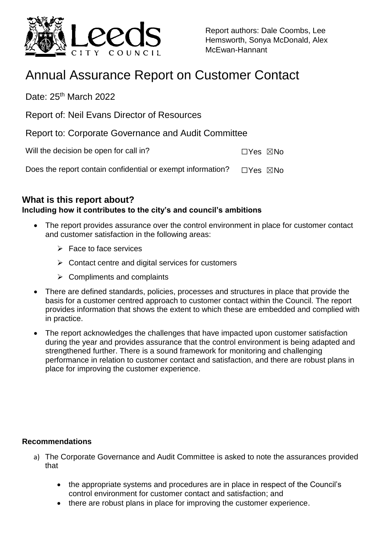

Report authors: Dale Coombs, Lee Hemsworth, Sonya McDonald, Alex McEwan-Hannant

# Annual Assurance Report on Customer Contact

Date: 25<sup>th</sup> March 2022

Report of: Neil Evans Director of Resources

Report to: Corporate Governance and Audit Committee

Will the decision be open for call in? ☐Yes ☒No

Does the report contain confidential or exempt information?  $□Yes \triangle N$ No

## **What is this report about?**

## **Including how it contributes to the city's and council's ambitions**

- The report provides assurance over the control environment in place for customer contact and customer satisfaction in the following areas:
	- $\triangleright$  Face to face services
	- $\triangleright$  Contact centre and digital services for customers
	- $\triangleright$  Compliments and complaints
- There are defined standards, policies, processes and structures in place that provide the basis for a customer centred approach to customer contact within the Council. The report provides information that shows the extent to which these are embedded and complied with in practice.
- The report acknowledges the challenges that have impacted upon customer satisfaction during the year and provides assurance that the control environment is being adapted and strengthened further. There is a sound framework for monitoring and challenging performance in relation to customer contact and satisfaction, and there are robust plans in place for improving the customer experience.

### **Recommendations**

- a) The Corporate Governance and Audit Committee is asked to note the assurances provided that
	- the appropriate systems and procedures are in place in respect of the Council's control environment for customer contact and satisfaction; and
	- there are robust plans in place for improving the customer experience.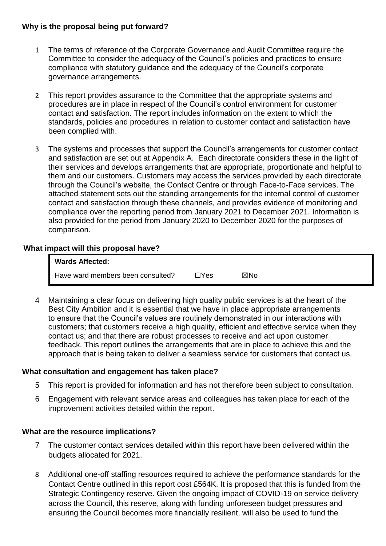#### **Why is the proposal being put forward?**

- 1 The terms of reference of the Corporate Governance and Audit Committee require the Committee to consider the adequacy of the Council's policies and practices to ensure compliance with statutory guidance and the adequacy of the Council's corporate governance arrangements.
- 2 This report provides assurance to the Committee that the appropriate systems and procedures are in place in respect of the Council's control environment for customer contact and satisfaction. The report includes information on the extent to which the standards, policies and procedures in relation to customer contact and satisfaction have been complied with.
- 3 The systems and processes that support the Council's arrangements for customer contact and satisfaction are set out at Appendix A. Each directorate considers these in the light of their services and develops arrangements that are appropriate, proportionate and helpful to them and our customers. Customers may access the services provided by each directorate through the Council's website, the Contact Centre or through Face-to-Face services. The attached statement sets out the standing arrangements for the internal control of customer contact and satisfaction through these channels, and provides evidence of monitoring and compliance over the reporting period from January 2021 to December 2021. Information is also provided for the period from January 2020 to December 2020 for the purposes of comparison.

#### **What impact will this proposal have?**

| <b>Wards Affected:</b>            |               |     |
|-----------------------------------|---------------|-----|
| Have ward members been consulted? | $\exists$ Yes | ⊠No |

4 Maintaining a clear focus on delivering high quality public services is at the heart of the Best City Ambition and it is essential that we have in place appropriate arrangements to ensure that the Council's values are routinely demonstrated in our interactions with customers; that customers receive a high quality, efficient and effective service when they contact us; and that there are robust processes to receive and act upon customer feedback. This report outlines the arrangements that are in place to achieve this and the approach that is being taken to deliver a seamless service for customers that contact us.

#### **What consultation and engagement has taken place?**

- 5 This report is provided for information and has not therefore been subject to consultation.
- 6 Engagement with relevant service areas and colleagues has taken place for each of the improvement activities detailed within the report.

#### **What are the resource implications?**

- 7 The customer contact services detailed within this report have been delivered within the budgets allocated for 2021.
- 8 Additional one-off staffing resources required to achieve the performance standards for the Contact Centre outlined in this report cost £564K. It is proposed that this is funded from the Strategic Contingency reserve. Given the ongoing impact of COVID-19 on service delivery across the Council, this reserve, along with funding unforeseen budget pressures and ensuring the Council becomes more financially resilient, will also be used to fund the